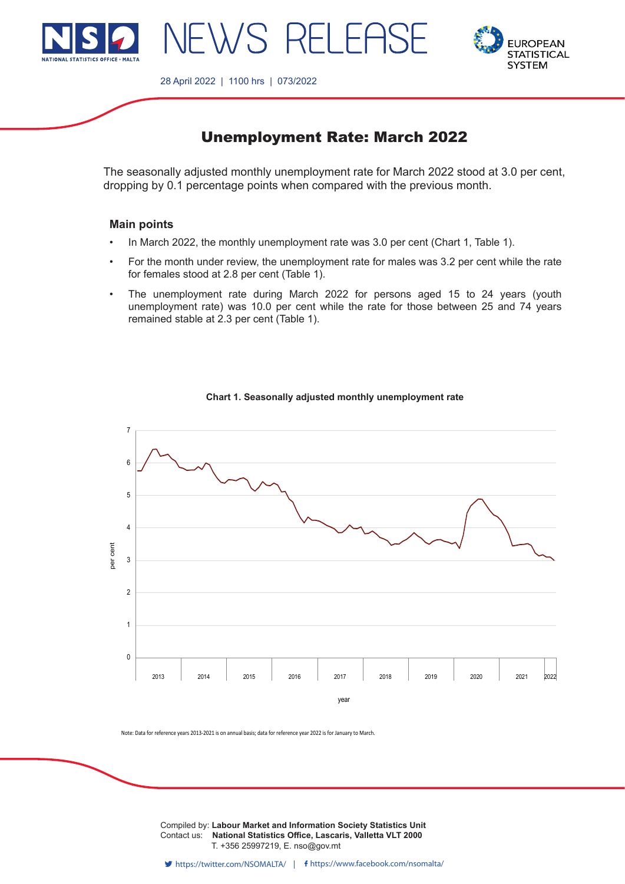



28 April 2022 | 1100 hrs | 073/2022

JEWS RELEAS

# Unemployment Rate: March 2022

The seasonally adjusted monthly unemployment rate for March 2022 stood at 3.0 per cent, dropping by 0.1 percentage points when compared with the previous month.

## **Main points**

- In March 2022, the monthly unemployment rate was 3.0 per cent (Chart 1, Table 1).
- For the month under review, the unemployment rate for males was 3.2 per cent while the rate for females stood at 2.8 per cent (Table 1).
- The unemployment rate during March 2022 for persons aged 15 to 24 years (youth unemployment rate) was 10.0 per cent while the rate for those between 25 and 74 years remained stable at 2.3 per cent (Table 1).



#### **Chart 1. Seasonally adjusted monthly unemployment rate**

Note: Data for reference years 2013-2021 is on annual basis; data for reference year 2022 is for January to March.

**Compiled by: Labour Market and Information Society Statistics Unit** Contact us: **National Statistics Office, Lascaris, Valletta VLT 2000** T. +356 25997219, E. nso@gov.mt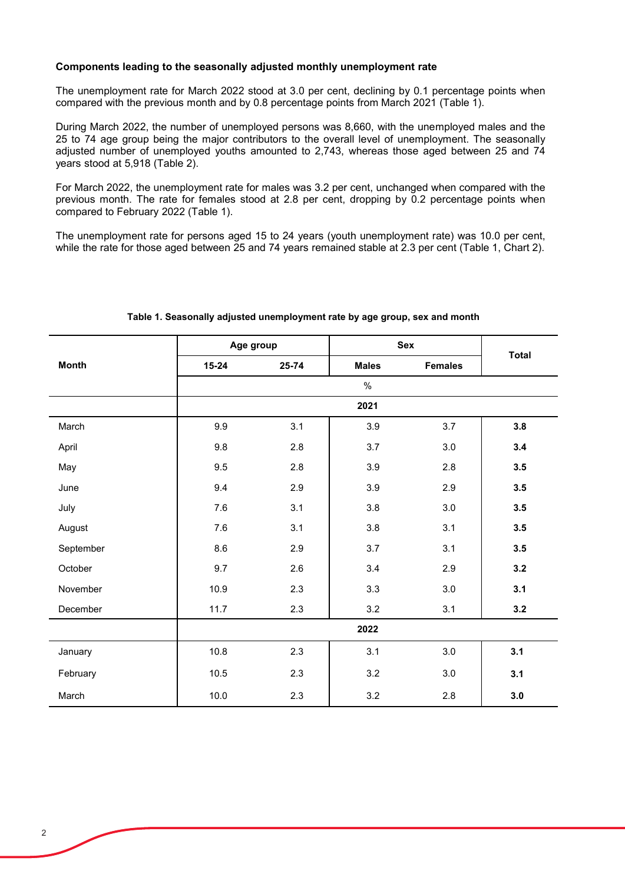#### **Components leading to the seasonally adjusted monthly unemployment rate**

The unemployment rate for March 2022 stood at 3.0 per cent, declining by 0.1 percentage points when compared with the previous month and by 0.8 percentage points from March 2021 (Table 1).

During March 2022, the number of unemployed persons was 8,660, with the unemployed males and the 25 to 74 age group being the major contributors to the overall level of unemployment. The seasonally adjusted number of unemployed youths amounted to 2,743, whereas those aged between 25 and 74 years stood at 5,918 (Table 2).

For March 2022, the unemployment rate for males was 3.2 per cent, unchanged when compared with the previous month. The rate for females stood at 2.8 per cent, dropping by 0.2 percentage points when compared to February 2022 (Table 1).

The unemployment rate for persons aged 15 to 24 years (youth unemployment rate) was 10.0 per cent, while the rate for those aged between 25 and 74 years remained stable at 2.3 per cent (Table 1, Chart 2).

|              | Age group |       | <b>Sex</b>   |                | <b>Total</b> |  |  |
|--------------|-----------|-------|--------------|----------------|--------------|--|--|
| <b>Month</b> | $15 - 24$ | 25-74 | <b>Males</b> | <b>Females</b> |              |  |  |
|              |           |       | $\%$         |                |              |  |  |
|              | 2021      |       |              |                |              |  |  |
| March        | 9.9       | 3.1   | 3.9          | 3.7            | 3.8          |  |  |
| April        | 9.8       | 2.8   | 3.7          | 3.0            | 3.4          |  |  |
| May          | 9.5       | 2.8   | 3.9          | 2.8            | 3.5          |  |  |
| June         | 9.4       | 2.9   | 3.9          | 2.9            | 3.5          |  |  |
| July         | 7.6       | 3.1   | $3.8\,$      | 3.0            | 3.5          |  |  |
| August       | 7.6       | 3.1   | $3.8\,$      | 3.1            | 3.5          |  |  |
| September    | 8.6       | 2.9   | 3.7          | 3.1            | 3.5          |  |  |
| October      | 9.7       | 2.6   | 3.4          | 2.9            | 3.2          |  |  |
| November     | 10.9      | 2.3   | 3.3          | 3.0            | 3.1          |  |  |
| December     | 11.7      | 2.3   | 3.2          | 3.1            | 3.2          |  |  |
|              | 2022      |       |              |                |              |  |  |
| January      | 10.8      | 2.3   | 3.1          | 3.0            | 3.1          |  |  |
| February     | 10.5      | 2.3   | 3.2          | 3.0            | 3.1          |  |  |
| March        | 10.0      | 2.3   | 3.2          | 2.8            | 3.0          |  |  |

## **Table 1. Seasonally adjusted unemployment rate by age group, sex and month**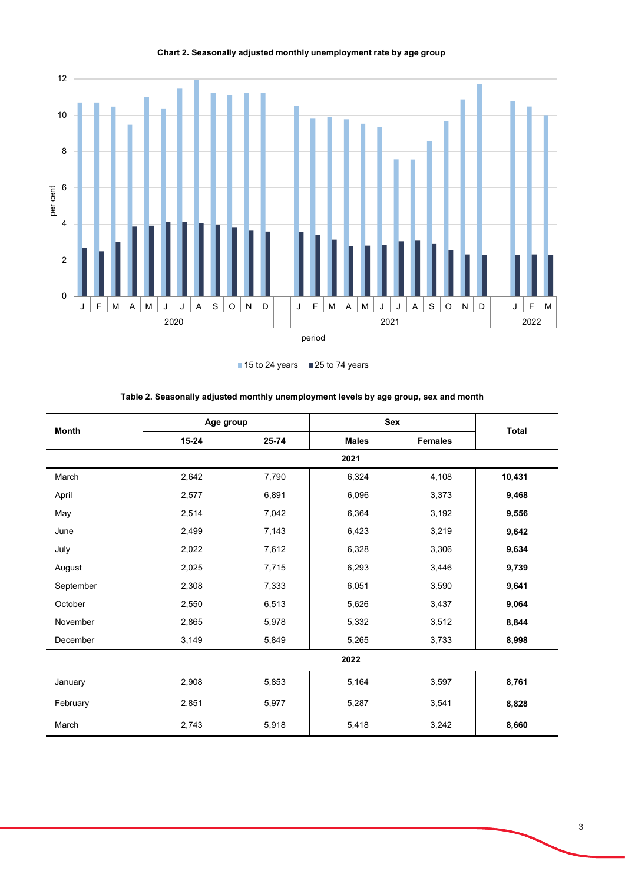

 $\blacksquare$  15 to 24 years  $\blacksquare$  25 to 74 years

| <b>Month</b> | Age group |       | Sex          |                |              |  |  |
|--------------|-----------|-------|--------------|----------------|--------------|--|--|
|              | $15 - 24$ | 25-74 | <b>Males</b> | <b>Females</b> | <b>Total</b> |  |  |
|              |           |       | 2021         |                |              |  |  |
| March        | 2,642     | 7,790 | 6,324        | 4,108          | 10,431       |  |  |
| April        | 2,577     | 6,891 | 6,096        | 3,373          | 9,468        |  |  |
| May          | 2,514     | 7,042 | 6,364        | 3,192          | 9,556        |  |  |
| June         | 2,499     | 7,143 | 6,423        | 3,219          | 9,642        |  |  |
| July         | 2,022     | 7,612 | 6,328        | 3,306          | 9,634        |  |  |
| August       | 2,025     | 7,715 | 6,293        | 3,446          | 9,739        |  |  |
| September    | 2,308     | 7,333 | 6,051        | 3,590          | 9,641        |  |  |
| October      | 2,550     | 6,513 | 5,626        | 3,437          | 9,064        |  |  |
| November     | 2,865     | 5,978 | 5,332        | 3,512          | 8,844        |  |  |
| December     | 3,149     | 5,849 | 5,265        | 3,733          | 8,998        |  |  |
|              | 2022      |       |              |                |              |  |  |
| January      | 2,908     | 5,853 | 5,164        | 3,597          | 8,761        |  |  |
| February     | 2,851     | 5,977 | 5,287        | 3,541          | 8,828        |  |  |
| March        | 2,743     | 5,918 | 5,418        | 3,242          | 8,660        |  |  |

**Table 2. Seasonally adjusted monthly unemployment levels by age group, sex and month**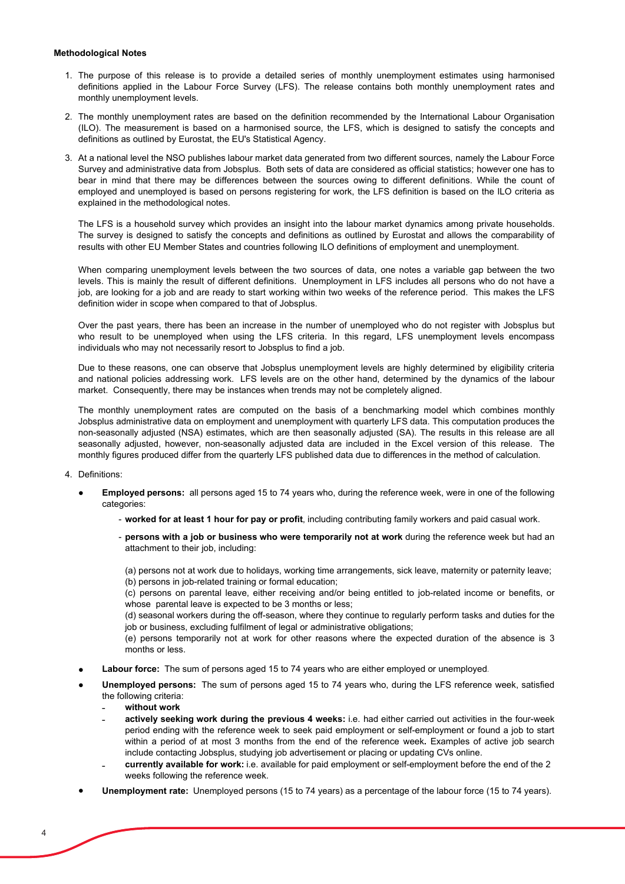#### **Methodological Notes**

- 1. The purpose of this release is to provide a detailed series of monthly unemployment estimates using harmonised definitions applied in the Labour Force Survey (LFS). The release contains both monthly unemployment rates and monthly unemployment levels.
- 2. The monthly unemployment rates are based on the definition recommended by the International Labour Organisation (ILO). The measurement is based on a harmonised source, the LFS, which is designed to satisfy the concepts and definitions as outlined by Eurostat, the EU's Statistical Agency.
- 3. At a national level the NSO publishes labour market data generated from two different sources, namely the Labour Force Survey and administrative data from Jobsplus. Both sets of data are considered as official statistics; however one has to bear in mind that there may be differences between the sources owing to different definitions. While the count of employed and unemployed is based on persons registering for work, the LFS definition is based on the ILO criteria as explained in the methodological notes.

The LFS is a household survey which provides an insight into the labour market dynamics among private households. The survey is designed to satisfy the concepts and definitions as outlined by Eurostat and allows the comparability of results with other EU Member States and countries following ILO definitions of employment and unemployment.

When comparing unemployment levels between the two sources of data, one notes a variable gap between the two levels. This is mainly the result of different definitions. Unemployment in LFS includes all persons who do not have a job, are looking for a job and are ready to start working within two weeks of the reference period. This makes the LFS definition wider in scope when compared to that of Jobsplus.

Over the past years, there has been an increase in the number of unemployed who do not register with Jobsplus but who result to be unemployed when using the LFS criteria. In this regard, LFS unemployment levels encompass individuals who may not necessarily resort to Jobsplus to find a job.

Due to these reasons, one can observe that Jobsplus unemployment levels are highly determined by eligibility criteria and national policies addressing work. LFS levels are on the other hand, determined by the dynamics of the labour market. Consequently, there may be instances when trends may not be completely aligned.

The monthly unemployment rates are computed on the basis of a benchmarking model which combines monthly Jobsplus administrative data on employment and unemployment with quarterly LFS data. This computation produces the non-seasonally adjusted (NSA) estimates, which are then seasonally adjusted (SA). The results in this release are all seasonally adjusted, however, non-seasonally adjusted data are included in the Excel version of this release. The monthly figures produced differ from the quarterly LFS published data due to differences in the method of calculation.

- 4. Definitions:
	- **Employed persons:** all persons aged 15 to 74 years who, during the reference week, were in one of the following categories:
		- **worked for at least 1 hour for pay or profit**, including contributing family workers and paid casual work.
		- **persons with a job or business who were temporarily not at work** during the reference week but had an attachment to their job, including:

(a) persons not at work due to holidays, working time arrangements, sick leave, maternity or paternity leave; (b) persons in job-related training or formal education;

(c) persons on parental leave, either receiving and/or being entitled to job-related income or benefits, or whose parental leave is expected to be 3 months or less;

(d) seasonal workers during the off-season, where they continue to regularly perform tasks and duties for the job or business, excluding fulfilment of legal or administrative obligations;

(e) persons temporarily not at work for other reasons where the expected duration of the absence is 3 months or less.

- **Labour force:** The sum of persons aged 15 to 74 years who are either employed or unemployed.
- **Unemployed persons:** The sum of persons aged 15 to 74 years who, during the LFS reference week, satisfied the following criteria:
	- **˗ without work**
	- $\overline{\phantom{a}}$ **actively seeking work during the previous 4 weeks:** i.e. had either carried out activities in the four-week period ending with the reference week to seek paid employment or self-employment or found a job to start within a period of at most 3 months from the end of the reference week**.** Examples of active job search include contacting Jobsplus, studying job advertisement or placing or updating CVs online.
	- $\overline{\phantom{a}}$ **currently available for work:** i.e. available for paid employment or self-employment before the end of the 2 weeks following the reference week.
- **Unemployment rate:** Unemployed persons (15 to 74 years) as a percentage of the labour force (15 to 74 years).